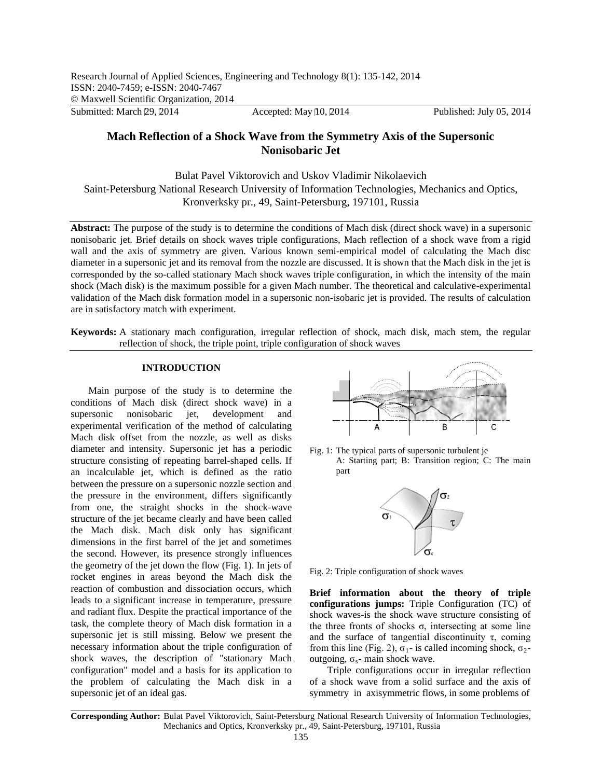# **Mach Reflection of a Shock Wave from the Symmetry Axis of the Supersonic Nonisobaric Jet**

Bulat Pavel Viktorovich and Uskov Vladimir Nikolaevich Saint-Petersburg National Research University of Information Technologies, Mechanics and Optics, Kronverksky pr., 49, Saint-Petersburg, 197101, Russia

**Abstract:** The purpose of the study is to determine the conditions of Mach disk (direct shock wave) in a supersonic nonisobaric jet. Brief details on shock waves triple configurations, Mach reflection of a shock wave from a rigid wall and the axis of symmetry are given. Various known semi-empirical model of calculating the Mach disc diameter in a supersonic jet and its removal from the nozzle are discussed. It is shown that the Mach disk in the jet is corresponded by the so-called stationary Mach shock waves triple configuration, in which the intensity of the main shock (Mach disk) is the maximum possible for a given Mach number. The theoretical and calculative-experimental validation of the Mach disk formation model in a supersonic non-isobaric jet is provided. The results of calculation are in satisfactory match with experiment.

**Keywords:** A stationary mach configuration, irregular reflection of shock, mach disk, mach stem, the regular reflection of shock, the triple point, triple configuration of shock waves

# **INTRODUCTION**

Main purpose of the study is to determine the conditions of Mach disk (direct shock wave) in a supersonic nonisobaric jet, development and experimental verification of the method of calculating Mach disk offset from the nozzle, as well as disks diameter and intensity. Supersonic jet has a periodic structure consisting of repeating barrel-shaped cells. If an incalculable jet, which is defined as the ratio between the pressure on a supersonic nozzle section and the pressure in the environment, differs significantly from one, the straight shocks in the shock-wave structure of the jet became clearly and have been called the Mach disk. Mach disk only has significant dimensions in the first barrel of the jet and sometimes the second. However, its presence strongly influences the geometry of the jet down the flow (Fig. 1). In jets of rocket engines in areas beyond the Mach disk the reaction of combustion and dissociation occurs, which leads to a significant increase in temperature, pressure and radiant flux. Despite the practical importance of the task, the complete theory of Mach disk formation in a supersonic jet is still missing. Below we present the necessary information about the triple configuration of shock waves, the description of "stationary Mach configuration" model and a basis for its application to the problem of calculating the Mach disk in a supersonic jet of an ideal gas.



Fig. 1: The typical parts of supersonic turbulent je A: Starting part; B: Transition region; C: The main part



Fig. 2: Triple configuration of shock waves

**Brief information about the theory of triple configurations jumps:** Triple Configuration (TC) of shock waves-is the shock wave structure consisting of the three fronts of shocks  $σ$ , intersecting at some line and the surface of tangential discontinuity  $\tau$ , coming from this line (Fig. 2),  $\sigma_1$ - is called incoming shock,  $\sigma_2$ outgoing,  $σ_s$ - main shock wave.

Triple configurations occur in irregular reflection of a shock wave from a solid surface and the axis of symmetry in axisymmetric flows, in some problems of

**Corresponding Author:** Bulat Pavel Viktorovich, Saint-Petersburg National Research University of Information Technologies, Mechanics and Optics, Kronverksky pr., 49, Saint-Petersburg, 197101, Russia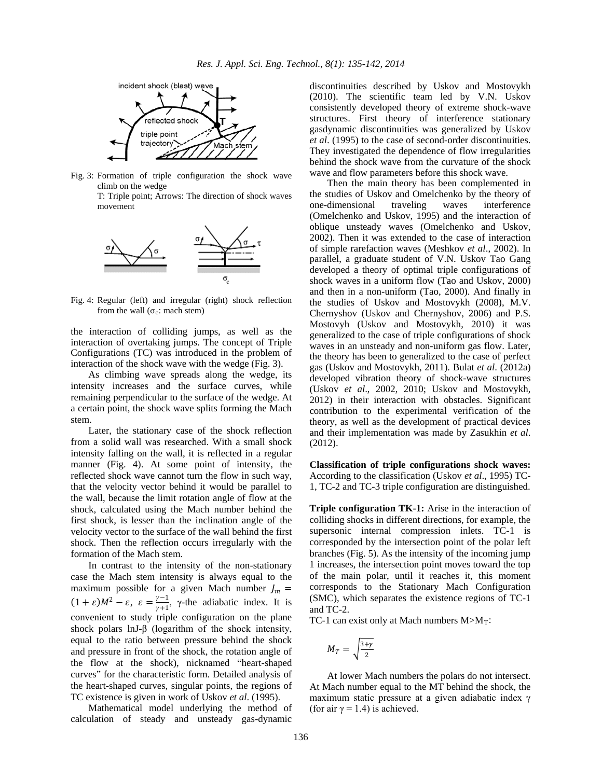

Fig. 3: Formation of triple configuration the shock wave climb on the wedge

> T: Triple point; Arrows: The direction of shock waves movement



Fig. 4: Regular (left) and irregular (right) shock reflection from the wall ( $\sigma_c$ : mach stem)

the interaction of colliding jumps, as well as the interaction of overtaking jumps. The concept of Triple Configurations (TC) was introduced in the problem of interaction of the shock wave with the wedge (Fig. 3).

As climbing wave spreads along the wedge, its intensity increases and the surface curves, while remaining perpendicular to the surface of the wedge. At a certain point, the shock wave splits forming the Mach stem.

Later, the stationary case of the shock reflection from a solid wall was researched. With a small shock intensity falling on the wall, it is reflected in a regular manner (Fig. 4). At some point of intensity, the reflected shock wave cannot turn the flow in such way, that the velocity vector behind it would be parallel to the wall, because the limit rotation angle of flow at the shock, calculated using the Mach number behind the first shock, is lesser than the inclination angle of the velocity vector to the surface of the wall behind the first shock. Then the reflection occurs irregularly with the formation of the Mach stem.

In contrast to the intensity of the non-stationary case the Mach stem intensity is always equal to the maximum possible for a given Mach number  $J_m =$  $(1 + \varepsilon)M^2 - \varepsilon$ ,  $\varepsilon = \frac{\gamma - 1}{\gamma + 1}$ ,  $\gamma$ -the adiabatic index. It is convenient to study triple configuration on the plane shock polars lnJ- $\beta$  (logarithm of the shock intensity, equal to the ratio between pressure behind the shock and pressure in front of the shock, the rotation angle of the flow at the shock), nicknamed "heart-shaped curves" for the characteristic form. Detailed analysis of the heart-shaped curves, singular points, the regions of TC existence is given in work of Uskov *et al*. (1995).

Mathematical model underlying the method of calculation of steady and unsteady gas-dynamic discontinuities described by Uskov and Mostovykh (2010). The scientific team led by V.N. Uskov consistently developed theory of extreme shock-wave structures. First theory of interference stationary gasdynamic discontinuities was generalized by Uskov *et al*. (1995) to the case of second-order discontinuities. They investigated the dependence of flow irregularities behind the shock wave from the curvature of the shock wave and flow parameters before this shock wave.

Then the main theory has been complemented in the studies of Uskov and Omelchenko by the theory of one-dimensional traveling waves interference (Omelchenko and Uskov, 1995) and the interaction of oblique unsteady waves (Omelchenko and Uskov, 2002). Then it was extended to the case of interaction of simple rarefaction waves (Meshkov *et al*., 2002). In parallel, a graduate student of V.N. Uskov Tao Gang developed a theory of optimal triple configurations of shock waves in a uniform flow (Tao and Uskov, 2000) and then in a non-uniform (Tao, 2000). And finally in the studies of Uskov and Mostovykh (2008), M.V. Chernyshov (Uskov and Chernyshov, 2006) and P.S. Mostovyh (Uskov and Mostovykh, 2010) it was generalized to the case of triple configurations of shock waves in an unsteady and non-uniform gas flow. Later, the theory has been to generalized to the case of perfect gas (Uskov and Mostovykh, 2011). Bulat *et al*. (2012a) developed vibration theory of shock-wave structures (Uskov *et al*., 2002, 2010; Uskov and Mostovykh, 2012) in their interaction with obstacles. Significant contribution to the experimental verification of the theory, as well as the development of practical devices and their implementation was made by Zasukhin *et al*. (2012).

**Classification of triple configurations shock waves:**  According to the classification (Uskov *et al*., 1995) TC-1, TC-2 and TC-3 triple configuration are distinguished.

**Triple configuration TK-1:** Arise in the interaction of colliding shocks in different directions, for example, the supersonic internal compression inlets. TC-1 is corresponded by the intersection point of the polar left branches (Fig. 5). As the intensity of the incoming jump 1 increases, the intersection point moves toward the top of the main polar, until it reaches it, this moment corresponds to the Stationary Mach Configuration (SMC), which separates the existence regions of TC-1 and TC-2.

TC-1 can exist only at Mach numbers  $M > M_T$ :

$$
M_T=\sqrt{\frac{3+\gamma}{2}}
$$

At lower Mach numbers the polars do not intersect. At Mach number equal to the MT behind the shock, the maximum static pressure at a given adiabatic index γ (for air  $\gamma = 1.4$ ) is achieved.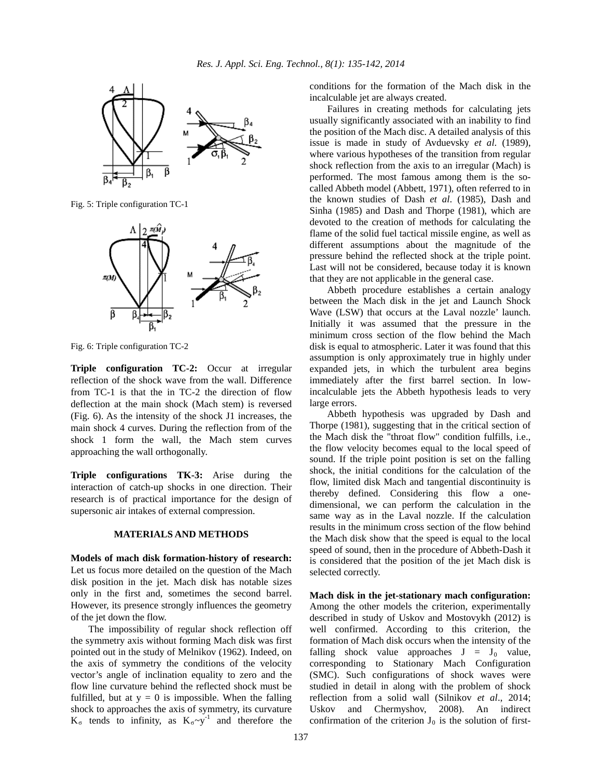

Fig. 5: Triple configuration TC-1



Fig. 6: Triple configuration TC-2

**Triple configuration TC-2:** Occur at irregular reflection of the shock wave from the wall. Difference from TC-1 is that the in TC-2 the direction of flow deflection at the main shock (Mach stem) is reversed (Fig. 6). As the intensity of the shock J1 increases, the main shock 4 curves. During the reflection from of the shock 1 form the wall, the Mach stem curves approaching the wall orthogonally.

**Triple configurations TK-3:** Arise during the interaction of catch-up shocks in one direction. Their research is of practical importance for the design of supersonic air intakes of external compression.

# **MATERIALS AND METHODS**

**Models of mach disk formation-history of research:** Let us focus more detailed on the question of the Mach disk position in the jet. Mach disk has notable sizes only in the first and, sometimes the second barrel. However, its presence strongly influences the geometry of the jet down the flow.

The impossibility of regular shock reflection off the symmetry axis without forming Mach disk was first pointed out in the study of Melnikov (1962). Indeed, on the axis of symmetry the conditions of the velocity vector's angle of inclination equality to zero and the flow line curvature behind the reflected shock must be fulfilled, but at  $y = 0$  is impossible. When the falling shock to approaches the axis of symmetry, its curvature  $K_{\sigma}$  tends to infinity, as  $K_{\sigma} \sim y^{-1}$  and therefore the conditions for the formation of the Mach disk in the incalculable jet are always created.

Failures in creating methods for calculating jets usually significantly associated with an inability to find the position of the Mach disc. A detailed analysis of this issue is made in study of Avduevsky *et al*. (1989), where various hypotheses of the transition from regular shock reflection from the axis to an irregular (Mach) is performed. The most famous among them is the socalled Abbeth model (Abbett, 1971), often referred to in the known studies of Dash *et al*. (1985), Dash and Sinha (1985) and Dash and Thorpe (1981), which are devoted to the creation of methods for calculating the flame of the solid fuel tactical missile engine, as well as different assumptions about the magnitude of the pressure behind the reflected shock at the triple point. Last will not be considered, because today it is known that they are not applicable in the general case.

Abbeth procedure establishes a certain analogy between the Mach disk in the jet and Launch Shock Wave (LSW) that occurs at the Laval nozzle' launch. Initially it was assumed that the pressure in the minimum cross section of the flow behind the Mach disk is equal to atmospheric. Later it was found that this assumption is only approximately true in highly under expanded jets, in which the turbulent area begins immediately after the first barrel section. In lowincalculable jets the Abbeth hypothesis leads to very large errors.

Abbeth hypothesis was upgraded by Dash and Thorpe (1981), suggesting that in the critical section of the Mach disk the "throat flow" condition fulfills, i.e., the flow velocity becomes equal to the local speed of sound. If the triple point position is set on the falling shock, the initial conditions for the calculation of the flow, limited disk Mach and tangential discontinuity is thereby defined. Considering this flow a onedimensional, we can perform the calculation in the same way as in the Laval nozzle. If the calculation results in the minimum cross section of the flow behind the Mach disk show that the speed is equal to the local speed of sound, then in the procedure of Abbeth-Dash it is considered that the position of the jet Mach disk is selected correctly.

**Mach disk in the jet-stationary mach configuration:** Among the other models the criterion, experimentally described in study of Uskov and Mostovykh (2012) is well confirmed. According to this criterion, the formation of Mach disk occurs when the intensity of the falling shock value approaches  $J = J_0$  value, corresponding to Stationary Mach Configuration (SMC). Such configurations of shock waves were studied in detail in along with the problem of shock reflection from a solid wall (Silnikov *et al*., 2014; Uskov and Chermyshov, 2008). An indirect confirmation of the criterion  $J_0$  is the solution of first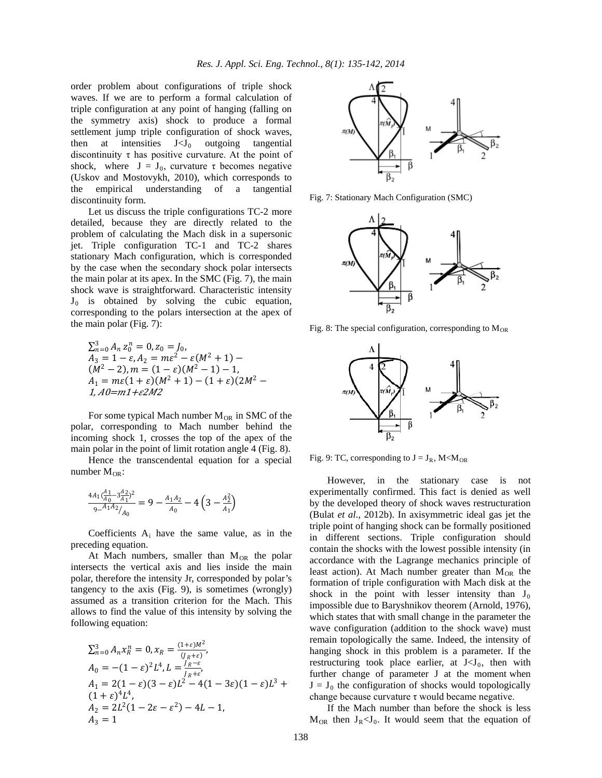order problem about configurations of triple shock waves. If we are to perform a formal calculation of triple configuration at any point of hanging (falling on the symmetry axis) shock to produce a formal settlement jump triple configuration of shock waves, then at intensities  $J < J_0$  outgoing tangential discontinuity  $\tau$  has positive curvature. At the point of shock, where  $J = J_0$ , curvature  $\tau$  becomes negative (Uskov and Mostovykh, 2010), which corresponds to the empirical understanding of a tangential discontinuity form.

Let us discuss the triple configurations TC-2 more detailed, because they are directly related to the problem of calculating the Mach disk in a supersonic jet. Triple configuration TC-1 and TC-2 shares stationary Mach configuration, which is corresponded by the case when the secondary shock polar intersects the main polar at its apex. In the SMC (Fig. 7), the main shock wave is straightforward. Characteristic intensity  $J_0$  is obtained by solving the cubic equation, corresponding to the polars intersection at the apex of the main polar (Fig. 7):

$$
\sum_{n=0}^{3} A_n z_0^n = 0, z_0 = J_0,
$$
  
\n
$$
A_3 = 1 - \varepsilon, A_2 = m\varepsilon^2 - \varepsilon(M^2 + 1) -
$$
  
\n
$$
(M^2 - 2), m = (1 - \varepsilon)(M^2 - 1) - 1,
$$
  
\n
$$
A_1 = m\varepsilon(1 + \varepsilon)(M^2 + 1) - (1 + \varepsilon)(2M^2 - 1),
$$
  
\n
$$
A_1 \geq m(1 + \varepsilon)M^2 + 1 - (1 + \varepsilon)(2M^2 - 1),
$$

For some typical Mach number  $M_{OR}$  in SMC of the polar, corresponding to Mach number behind the incoming shock 1, crosses the top of the apex of the main polar in the point of limit rotation angle 4 (Fig. 8).

Hence the transcendental equation for a special number  $M_{OR}$ :

$$
\frac{4A_1(\frac{A_1}{A_0}-3\frac{A_2}{A_1})^2}{9-4A_1A_2}_{A_0} = 9 - \frac{A_1A_2}{A_0} - 4\left(3 - \frac{A_2^2}{A_1}\right)
$$

Coefficients  $A_i$  have the same value, as in the preceding equation.

At Mach numbers, smaller than  $M_{OR}$  the polar intersects the vertical axis and lies inside the main polar, therefore the intensity Jr, corresponded by polar's tangency to the axis (Fig. 9), is sometimes (wrongly) assumed as a transition criterion for the Mach. This allows to find the value of this intensity by solving the following equation:

$$
\sum_{n=0}^{3} A_n x_R^n = 0, x_R = \frac{(1+\varepsilon)M^2}{(J_R+\varepsilon)},
$$
  
\n
$$
A_0 = -(1-\varepsilon)^2 L^4, L = \frac{J_R-\varepsilon}{J_R+\varepsilon},
$$
  
\n
$$
A_1 = 2(1-\varepsilon)(3-\varepsilon)L^2 - 4(1-3\varepsilon)(1-\varepsilon)L^3 +
$$
  
\n
$$
(1+\varepsilon)^4 L^4,
$$
  
\n
$$
A_2 = 2L^2(1-2\varepsilon-\varepsilon^2) - 4L - 1,
$$
  
\n
$$
A_3 = 1
$$



Fig. 7: Stationary Mach Configuration (SMC)



Fig. 8: The special configuration, corresponding to  $M_{OR}$ 



Fig. 9: TC, corresponding to  $J = J_R$ , M<M<sub>OR</sub>

However, in the stationary case is not experimentally confirmed. This fact is denied as well by the developed theory of shock waves restructuration (Bulat *et al*., 2012b). In axisymmetric ideal gas jet the triple point of hanging shock can be formally positioned in different sections. Triple configuration should contain the shocks with the lowest possible intensity (in accordance with the Lagrange mechanics principle of least action). At Mach number greater than  $M_{OR}$  the formation of triple configuration with Mach disk at the shock in the point with lesser intensity than  $J_0$ impossible due to Baryshnikov theorem (Arnold, 1976), which states that with small change in the parameter the wave configuration (addition to the shock wave) must remain topologically the same. Indeed, the intensity of hanging shock in this problem is a parameter. If the restructuring took place earlier, at  $J < J<sub>0</sub>$ , then with further change of parameter J at the moment when  $J = J_0$  the configuration of shocks would topologically change because curvature  $τ$  would became negative.

If the Mach number than before the shock is less  $M_{OR}$  then  $J_R < J_0$ . It would seem that the equation of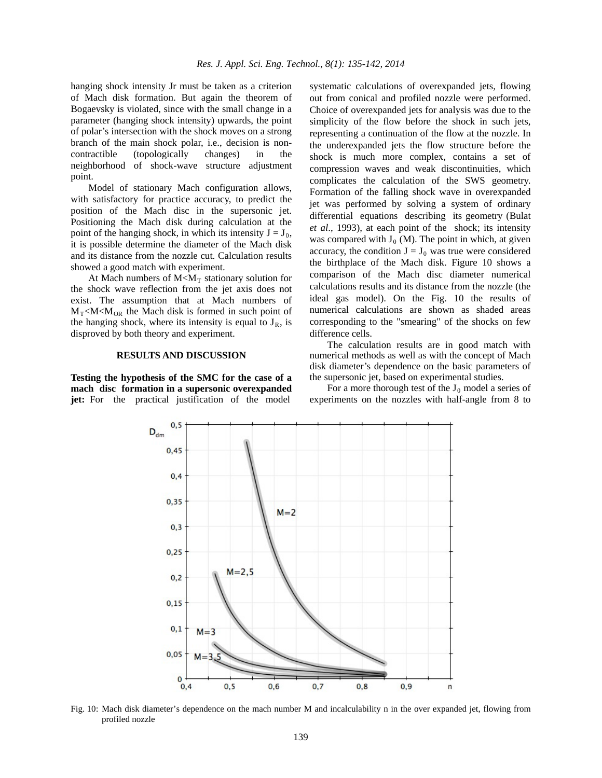hanging shock intensity Jr must be taken as a criterion of Mach disk formation. But again the theorem of Bogaevsky is violated, since with the small change in a parameter (hanging shock intensity) upwards, the point of polar's intersection with the shock moves on a strong branch of the main shock polar, i.e., decision is noncontractible (topologically changes) in the neighborhood of shock-wave structure adjustment point.

Model of stationary Mach configuration allows, with satisfactory for practice accuracy, to predict the position of the Mach disc in the supersonic jet. Positioning the Mach disk during calculation at the point of the hanging shock, in which its intensity  $J = J_0$ , it is possible determine the diameter of the Mach disk and its distance from the nozzle cut. Calculation results showed a good match with experiment.

At Mach numbers of  $M < M_T$  stationary solution for the shock wave reflection from the jet axis does not exist. The assumption that at Mach numbers of  $M_T < M < M_{OR}$  the Mach disk is formed in such point of the hanging shock, where its intensity is equal to  $J_R$ , is disproved by both theory and experiment.

## **RESULTS AND DISCUSSION**

**Testing the hypothesis of the SMC for the case of a mach disc formation in a supersonic overexpanded jet:** For the practical justification of the model

systematic calculations of overexpanded jets, flowing out from conical and profiled nozzle were performed. Choice of overexpanded jets for analysis was due to the simplicity of the flow before the shock in such jets, representing a continuation of the flow at the nozzle. In the underexpanded jets the flow structure before the shock is much more complex, contains a set of compression waves and weak discontinuities, which complicates the calculation of the SWS geometry. Formation of the falling shock wave in overexpanded jet was performed by solving a system of ordinary differential equations describing its geometry (Bulat *et al*., 1993), at each point of the shock; its intensity was compared with  $J_0$  (M). The point in which, at given accuracy, the condition  $J = J_0$  was true were considered the birthplace of the Mach disk. Figure 10 shows a comparison of the Mach disc diameter numerical calculations results and its distance from the nozzle (the ideal gas model). On the Fig. 10 the results of numerical calculations are shown as shaded areas corresponding to the "smearing" of the shocks on few difference cells.

The calculation results are in good match with numerical methods as well as with the concept of Mach disk diameter's dependence on the basic parameters of the supersonic jet, based on experimental studies.

For a more thorough test of the  $J_0$  model a series of experiments on the nozzles with half-angle from 8 to



Fig. 10: Mach disk diameter's dependence on the mach number M and incalculability n in the over expanded jet, flowing from profiled nozzle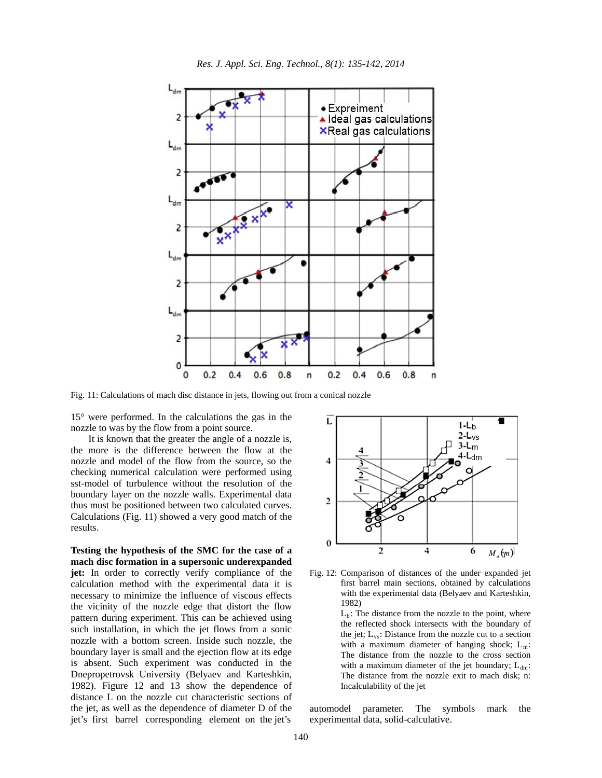

*Res. J. Appl. Sci. Eng. Technol., 8(1): 135-142, 2014*

Fig. 11: Calculations of mach disc distance in jets, flowing out from a conical nozzle

15° were performed. In the calculations the gas in the nozzle to was by the flow from a point source.

It is known that the greater the angle of a nozzle is, the more is the difference between the flow at the nozzle and model of the flow from the source, so the checking numerical calculation were performed using sst-model of turbulence without the resolution of the boundary layer on the nozzle walls. Experimental data thus must be positioned between two calculated curves. Calculations (Fig. 11) showed a very good match of the results.

**Testing the hypothesis of the SMC for the case of a mach disc formation in a supersonic underexpanded jet:** In order to correctly verify compliance of the calculation method with the experimental data it is necessary to minimize the influence of viscous effects the vicinity of the nozzle edge that distort the flow pattern during experiment. This can be achieved using such installation, in which the jet flows from a sonic nozzle with a bottom screen. Inside such nozzle, the boundary layer is small and the ejection flow at its edge is absent. Such experiment was conducted in the Dnepropetrovsk University (Belyaev and Karteshkin, 1982). Figure 12 and 13 show the dependence of distance L on the nozzle cut characteristic sections of the jet, as well as the dependence of diameter D of the jet's first barrel corresponding element on the jet's



Fig. 12: Comparison of distances of the under expanded jet first barrel main sections, obtained by calculations with the experimental data (Belyaev and Karteshkin, 1982)

> $L<sub>b</sub>$ : The distance from the nozzle to the point, where the reflected shock intersects with the boundary of the jet;  $L_{vs}$ : Distance from the nozzle cut to a section with a maximum diameter of hanging shock;  $L_m$ : The distance from the nozzle to the cross section with a maximum diameter of the jet boundary;  $L_{dm}$ : The distance from the nozzle exit to mach disk; n: Incalculability of the jet

automodel parameter. The symbols mark the experimental data, solid-calculative.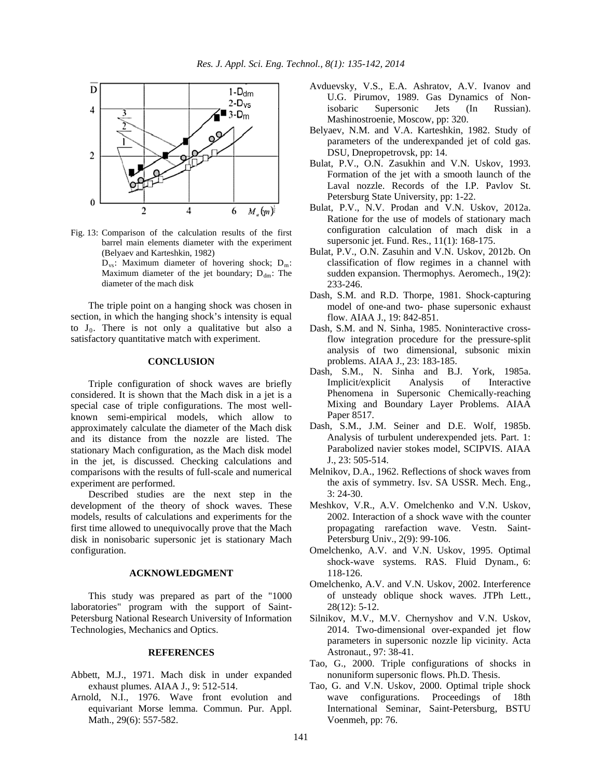

- Fig. 13: Comparison of the calculation results of the first barrel main elements diameter with the experiment (Belyaev and Karteshkin, 1982)
	- $D_{vs}$ : Maximum diameter of hovering shock;  $D_m$ : Maximum diameter of the jet boundary;  $D_{dm}$ : The diameter of the mach disk

The triple point on a hanging shock was chosen in section, in which the hanging shock's intensity is equal to  $J_0$ . There is not only a qualitative but also a satisfactory quantitative match with experiment.

# **CONCLUSION**

Triple configuration of shock waves are briefly considered. It is shown that the Mach disk in a jet is a special case of triple configurations. The most wellknown semi-empirical models, which allow to approximately calculate the diameter of the Mach disk and its distance from the nozzle are listed. The stationary Mach configuration, as the Mach disk model in the jet, is discussed. Checking calculations and comparisons with the results of full-scale and numerical experiment are performed.

Described studies are the next step in the development of the theory of shock waves. These models, results of calculations and experiments for the first time allowed to unequivocally prove that the Mach disk in nonisobaric supersonic jet is stationary Mach configuration.

### **ACKNOWLEDGMENT**

This study was prepared as part of the "1000 laboratories" program with the support of Saint-Petersburg National Research University of Information Technologies, Mechanics and Optics.

#### **REFERENCES**

- Abbett, M.J., 1971. Mach disk in under expanded exhaust plumes. AIAA J., 9: 512-514.
- Arnold, N.I., 1976. Wave front evolution and equivariant Morse lemma. Commun. Pur. Appl. Math., 29(6): 557-582.
- Avduevsky, V.S., E.A. Ashratov, A.V. Ivanov and U.G. Pirumov, 1989. Gas Dynamics of Nonisobaric Supersonic Jets (In Russian). Mashinostroenie, Moscow, pp: 320.
- Belyaev, N.M. and V.A. Karteshkin, 1982. Study of parameters of the underexpanded jet of cold gas. DSU, Dnepropetrovsk, pp: 14.
- Bulat, P.V., O.N. Zasukhin and V.N. Uskov, 1993. Formation of the jet with a smooth launch of the Laval nozzle. Records of the I.P. Pavlov St. Petersburg State University, pp: 1-22.
- Bulat, P.V., N.V. Prodan and V.N. Uskov, 2012a. Ratione for the use of models of stationary mach configuration calculation of mach disk in a supersonic jet. Fund. Res., 11(1): 168-175.
- Bulat, P.V., O.N. Zasuhin and V.N. Uskov, 2012b. On classification of flow regimes in a channel with sudden expansion. Thermophys. Aeromech., 19(2): 233-246.
- Dash, S.M. and R.D. Thorpe, 1981. Shock-capturing model of one-and two- phase supersonic exhaust flow. AIAA J., 19: 842-851.
- Dash, S.M. and N. Sinha, 1985. Noninteractive crossflow integration procedure for the pressure-split analysis of two dimensional, subsonic mixin problems. AIAA J., 23: 183-185.
- Dash, S.M., N. Sinha and B.J. York, 1985a. Implicit/explicit Analysis of Interactive Phenomena in Supersonic Chemically-reaching Mixing and Boundary Layer Problems. AIAA Paper 8517.
- Dash, S.M., J.M. Seiner and D.E. Wolf, 1985b. Analysis of turbulent underexpended jets. Part. 1: Parabolized navier stokes model, SCIPVIS. AIAA J., 23: 505-514.
- Melnikov, D.A., 1962. Reflections of shock waves from the axis of symmetry. Isv. SA USSR. Mech. Eng., 3: 24-30.
- Meshkov, V.R., A.V. Omelchenko and V.N. Uskov, 2002. Interaction of a shock wave with the counter propagating rarefaction wave. Vestn. Saint-Petersburg Univ., 2(9): 99-106.
- Omelchenko, A.V. and V.N. Uskov, 1995. Optimal shock-wave systems. RAS. Fluid Dynam., 6: 118-126.
- Omelchenko, A.V. and V.N. Uskov, 2002. Interference of unsteady oblique shock waves. JTPh Lett., 28(12): 5-12.
- Silnikov, M.V., M.V. Chernyshov and V.N. Uskov, 2014. Two-dimensional over-expanded jet flow parameters in supersonic nozzle lip vicinity. Acta Astronaut., 97: 38-41.
- Tao, G., 2000. Triple configurations of shocks in nonuniform supersonic flows. Ph.D. Thesis.
- Tao, G. and V.N. Uskov, 2000. Optimal triple shock wave configurations. Proceedings of 18th International Seminar, Saint-Petersburg, BSTU Voenmeh, pp: 76.